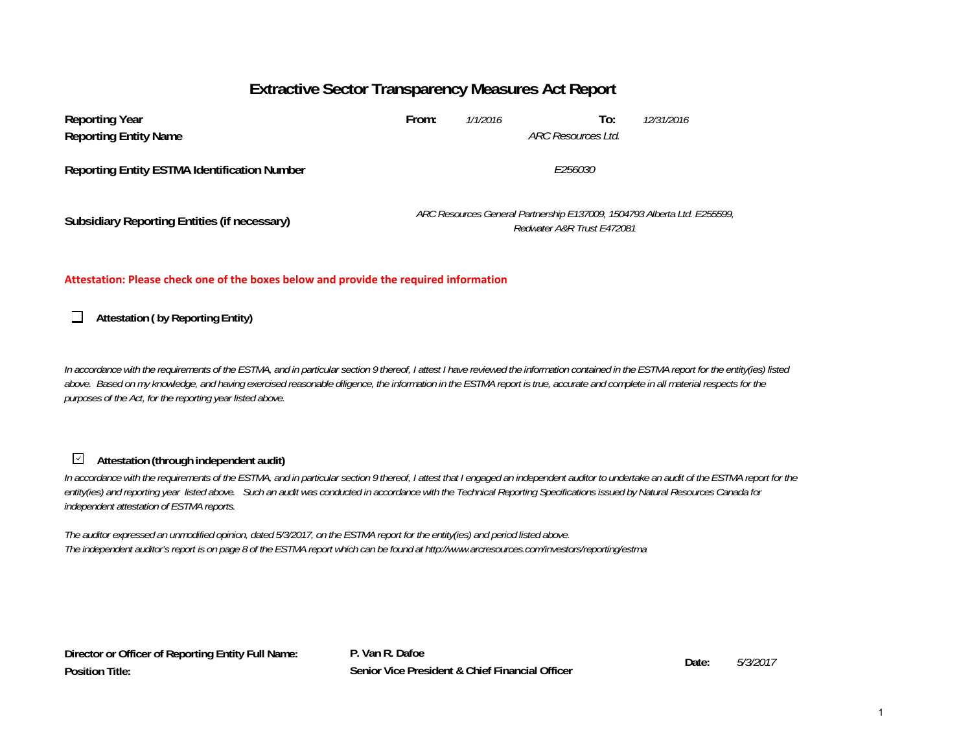# **Extractive Sector Transparency Measures Act Report**

| <b>Reporting Year</b><br><b>Reporting Entity Name</b> | From:   | 1/1/2016 | To:<br>ARC Resources Ltd.                                                                              | 12/31/2016 |  |  |
|-------------------------------------------------------|---------|----------|--------------------------------------------------------------------------------------------------------|------------|--|--|
| <b>Reporting Entity ESTMA Identification Number</b>   | F256030 |          |                                                                                                        |            |  |  |
| Subsidiary Reporting Entities (if necessary)          |         |          | ARC Resources General Partnership E137009, 1504793 Alberta Ltd. E255599,<br>Redwater A&R Trust E472081 |            |  |  |

#### **Attestation: Please check one of the boxes below and provide the required information**

**Attestation ( by Reporting Entity)**  $\Box$ 

*In accordance with the requirements of the ESTMA, and in particular section 9 thereof, I attest I have reviewed the information contained in the ESTMA report for the entity(ies) listed*  above. Based on my knowledge, and having exercised reasonable diligence, the information in the ESTMA report is true, accurate and complete in all material respects for the *purposes of the Act, for the reporting year listed above.* 

#### $\prec$ **Attestation (through independent audit)**

In accordance with the requirements of the ESTMA, and in particular section 9 thereof, I attest that I engaged an independent auditor to undertake an audit of the ESTMA report for the *entity(ies) and reporting year listed above. Such an audit was conducted in accordance with the Technical Reporting Specifications issued by Natural Resources Canada for independent attestation of ESTMA reports.* 

*The auditor expressed an unmodified opinion, dated 5/3/2017, on the ESTMA report for the entity(ies) and period listed above. The independent auditor's report is on page 8 of the ESTMA report which can be found at http://www.arcresources.com/investors/reporting/estma*

**Director or Officer of Reporting Entity Full Name: Position Title:**

**P. Van R. DafoeDate: Senior Vice President & Chief Financial Officer**

*5/3/2017*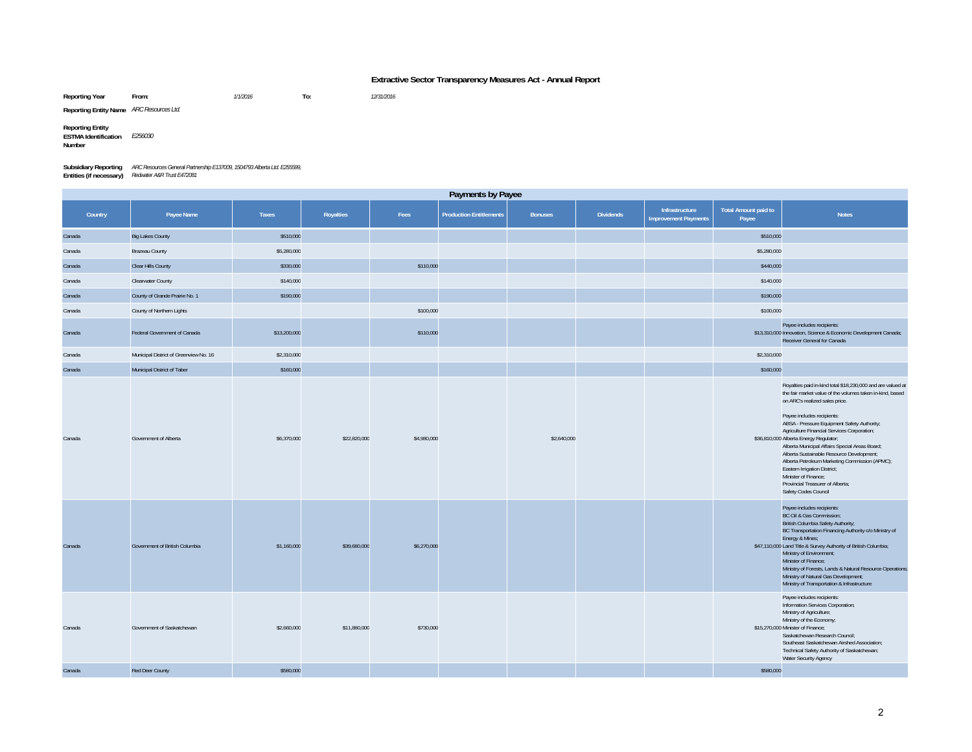#### **Extractive Sector Transparency Measures Act - Annual Report**

**Reporting Year From:** *1/1/2016* **To:** *12/31/2016*

**Reporting Entity Name** *ARC Resources Ltd.*

**Reporting Entity ESTMA Identification Number** *E256030*

| <b>Subsidiary Reporting</b> | ARC Resources General Partnership E137009, 1504793 Alberta Ltd. E255599, |
|-----------------------------|--------------------------------------------------------------------------|
| Entities (if necessary)     | Redwater A&R Trust E472081                                               |

| Payments by Payee |                                        |              |              |             |                                |                |                  |                                               |                                      |                                                                                                                                                                                                                                                                                                                                                                                                                                                                                                                                                                                                       |
|-------------------|----------------------------------------|--------------|--------------|-------------|--------------------------------|----------------|------------------|-----------------------------------------------|--------------------------------------|-------------------------------------------------------------------------------------------------------------------------------------------------------------------------------------------------------------------------------------------------------------------------------------------------------------------------------------------------------------------------------------------------------------------------------------------------------------------------------------------------------------------------------------------------------------------------------------------------------|
| Country           | Payee Name                             | Taxes        | Royalties    | Fees        | <b>Production Entitlements</b> | <b>Bonuses</b> | <b>Dividends</b> | Infrastructure<br><b>Improvement Payments</b> | <b>Total Amount paid to</b><br>Payee | <b>Notes</b>                                                                                                                                                                                                                                                                                                                                                                                                                                                                                                                                                                                          |
| Canada            | <b>Big Lakes County</b>                | \$510,000    |              |             |                                |                |                  |                                               | \$510,000                            |                                                                                                                                                                                                                                                                                                                                                                                                                                                                                                                                                                                                       |
| Canada            | Brazeau County                         | \$5,280,000  |              |             |                                |                |                  |                                               | \$5,280,000                          |                                                                                                                                                                                                                                                                                                                                                                                                                                                                                                                                                                                                       |
| Canada            | Clear Hills County                     | \$330,000    |              | \$110,000   |                                |                |                  |                                               | \$440,000                            |                                                                                                                                                                                                                                                                                                                                                                                                                                                                                                                                                                                                       |
| Canada            | <b>Clearwater County</b>               | \$140,000    |              |             |                                |                |                  |                                               | \$140,000                            |                                                                                                                                                                                                                                                                                                                                                                                                                                                                                                                                                                                                       |
| Canada            | County of Grande Prairie No. 1         | \$190,000    |              |             |                                |                |                  |                                               | \$190,000                            |                                                                                                                                                                                                                                                                                                                                                                                                                                                                                                                                                                                                       |
| Canada            | County of Northern Lights              |              |              | \$100,000   |                                |                |                  |                                               | \$100,000                            |                                                                                                                                                                                                                                                                                                                                                                                                                                                                                                                                                                                                       |
| Canada            | Federal Government of Canada           | \$13,200,000 |              | \$110,000   |                                |                |                  |                                               |                                      | Payee includes recipients:<br>\$13,310,000 Innovation, Science & Economic Development Canada;<br>Receiver General for Canada                                                                                                                                                                                                                                                                                                                                                                                                                                                                          |
| Canada            | Municipal District of Greenview No. 16 | \$2,310,000  |              |             |                                |                |                  |                                               | \$2,310,000                          |                                                                                                                                                                                                                                                                                                                                                                                                                                                                                                                                                                                                       |
| Canada            | Municipal District of Taber            | \$160,000    |              |             |                                |                |                  |                                               | \$160,000                            |                                                                                                                                                                                                                                                                                                                                                                                                                                                                                                                                                                                                       |
| Canada            | Government of Alberta                  | \$6,370,000  | \$22,820,000 | \$4,980,000 |                                | \$2,640,000    |                  |                                               |                                      | Royalties paid in-kind total \$18,230,000 and are valued at<br>the fair market value of the volumes taken in-kind, based<br>on ARC's realized sales price.<br>Payee includes recipients:<br>ABSA - Pressure Equipment Safety Authority;<br>Agriculture Financial Services Corporation;<br>\$36,810,000 Alberta Energy Regulator;<br>Alberta Municipal Affairs Special Areas Board;<br>Alberta Sustainable Resource Development;<br>Alberta Petroleum Marketing Commission (APMC);<br>Eastern Irrigation District;<br>Minister of Finance:<br>Provincial Treasurer of Alberta;<br>Safety Codes Council |
| Canada            | Government of British Columbia         | \$1,160,000  | \$39,680,000 | \$6,270,000 |                                |                |                  |                                               |                                      | Payee includes recipients:<br>BC Oil & Gas Commission;<br>British Columbia Safety Authority;<br>BC Transportation Financing Authority c/o Ministry of<br>Energy & Mines;<br>\$47,110,000 Land Title & Survey Authority of British Columbia;<br>Ministry of Environment;<br>Minister of Finance;<br>Ministry of Forests, Lands & Natural Resource Operations;<br>Ministry of Natural Gas Development;<br>Ministry of Transportation & Infrastructure                                                                                                                                                   |
| Canada            | Government of Saskatchewan             | \$2,660,000  | \$11,880,000 | \$730,000   |                                |                |                  |                                               |                                      | Payee includes recipients:<br>Information Services Corporation;<br>Ministry of Agriculture;<br>Ministry of the Economy;<br>\$15,270,000 Minister of Finance;<br>Saskatchewan Research Council;<br>Southeast Saskatchewan Airshed Association;<br>Technical Safety Authority of Saskatchewan;<br>Water Security Agency                                                                                                                                                                                                                                                                                 |
| Canada            | Red Deer County                        | \$580,000    |              |             |                                |                |                  |                                               | \$580,000                            |                                                                                                                                                                                                                                                                                                                                                                                                                                                                                                                                                                                                       |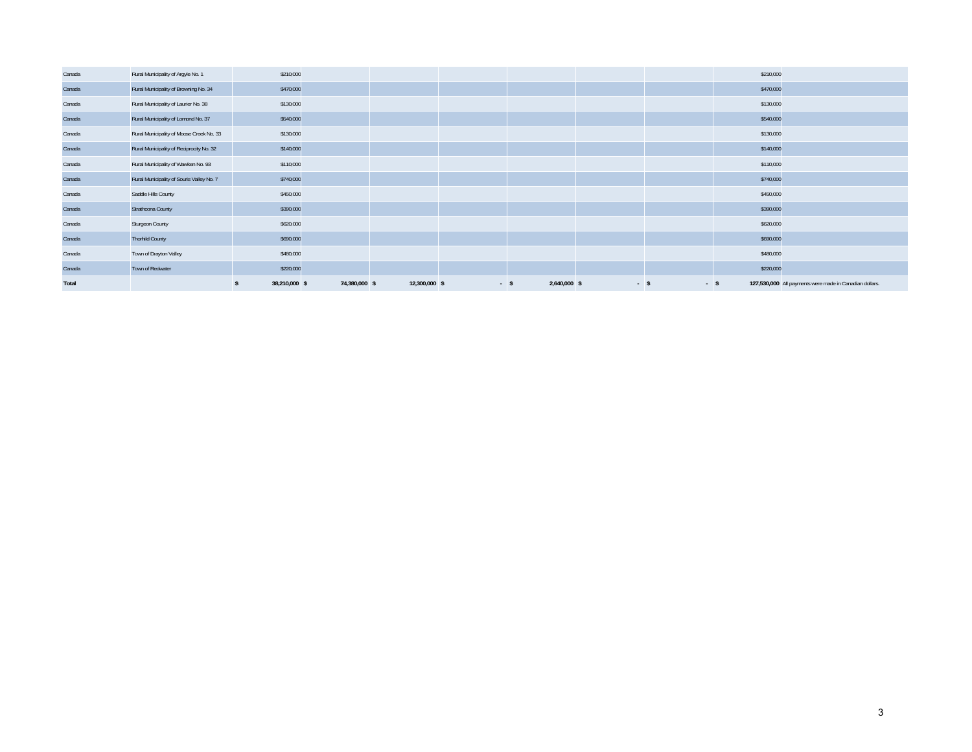| Canada | Rural Municipality of Argyle No. 1        | \$210,000     |               |               |      |              |      |      | \$210,000 |                                                         |
|--------|-------------------------------------------|---------------|---------------|---------------|------|--------------|------|------|-----------|---------------------------------------------------------|
| Canada | Rural Municipality of Browning No. 34     | \$470,000     |               |               |      |              |      |      | \$470,000 |                                                         |
| Canada | Rural Municipality of Laurier No. 38      | \$130,000     |               |               |      |              |      |      | \$130,000 |                                                         |
| Canada | Rural Municipality of Lomond No. 37       | \$540,000     |               |               |      |              |      |      | \$540,000 |                                                         |
| Canada | Rural Municipality of Moose Creek No. 33  | \$130,000     |               |               |      |              |      |      | \$130,000 |                                                         |
| Canada | Rural Municipality of Reciprocity No. 32  | \$140,000     |               |               |      |              |      |      | \$140,000 |                                                         |
| Canada | Rural Municipality of Wawken No. 93       | \$110,000     |               |               |      |              |      |      | \$110,000 |                                                         |
| Canada | Rural Municipality of Souris Valley No. 7 | \$740,000     |               |               |      |              |      |      | \$740,000 |                                                         |
| Canada | Saddle Hills County                       | \$450,000     |               |               |      |              |      |      | \$450,000 |                                                         |
| Canada | Strathcona County                         | \$390,000     |               |               |      |              |      |      | \$390,000 |                                                         |
| Canada | Sturgeon County                           | \$620,000     |               |               |      |              |      |      | \$620,000 |                                                         |
| Canada | <b>Thorhild County</b>                    | \$690,000     |               |               |      |              |      |      | \$690,000 |                                                         |
| Canada | Town of Drayton Valley                    | \$480,000     |               |               |      |              |      |      | \$480,000 |                                                         |
| Canada | Town of Redwater                          | \$220,000     |               |               |      |              |      |      | \$220,000 |                                                         |
| Total  |                                           | 38,210,000 \$ | 74,380,000 \$ | 12,300,000 \$ | $-5$ | 2,640,000 \$ | $-5$ | $-5$ |           | 127,530,000 All payments were made in Canadian dollars. |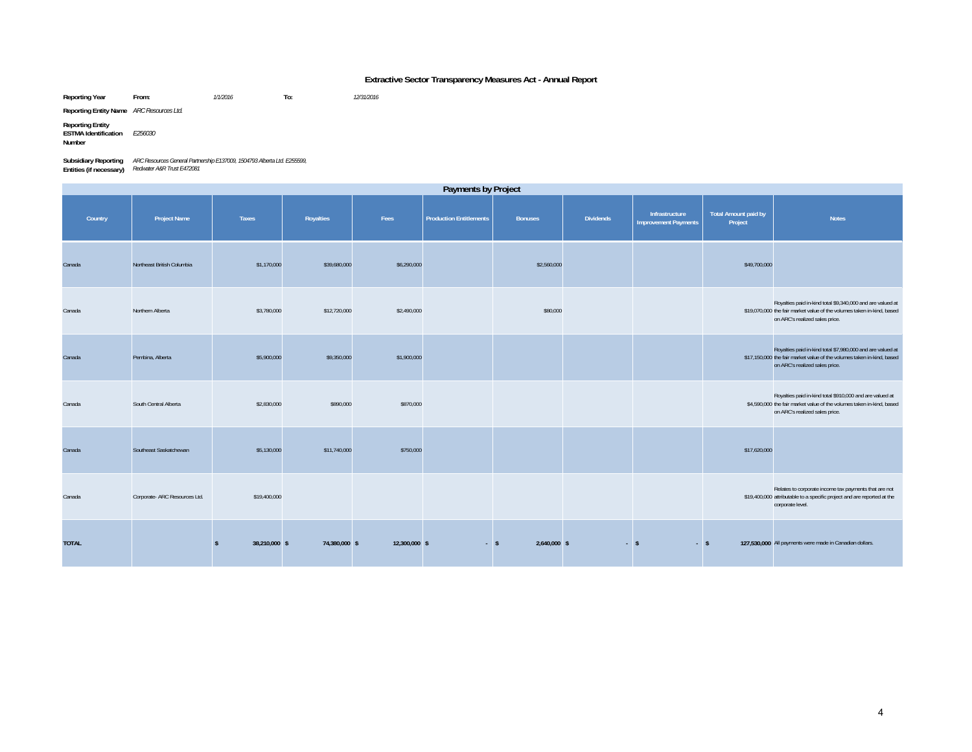#### **Extractive Sector Transparency Measures Act - Annual Report**

**Reporting Year From:** *1/1/2016* **To:** *12/31/2016*

**Reporting Entity Name** *ARC Resources Ltd.*

**Reporting Entity ESTMA Identification** *E256030*

**Number**

**Subsidiary Reporting**  *ARC Resources General Partnership E137009, 1504793 Alberta Ltd. E255599,*  **Entities (if necessary)** *Redwater A&R Trust E472081*

Country | Project Name | Taxes | Royalties | Fees |Production Entitlements | Bonuses | Dividends |Infrastructure Total Amount paid by<br>Country | Project | Taxes | Royalties | Fees |Production Entitlements | Bonuses | Divide Canadaa Northeast British Columbia \$1,170,000 \$3,680,000 \$2,560,000 \$49,700,000 Canadaa 80,000 \$12,780,000 \$12,720,000 \$12,720,000 \$2,490,000 \$2,490,000 \$30,000 \$319,000 \$19,070,000 \$19,070,000 \$19,070,000 Royalties paid in-kind total \$9,340,000 and are valued at the fair market value of the volumes taken in-kind, based on ARC's realized sales price. Canadaa Pembina, Alberta | \$5,900,000 \$9,350,000 \$1,900,000 \$1,900,000 \$1,900,000 \$1,900,000 \$1,000,000 \$17,150,000 \$17,150,000 \$17,150,000 Royalties paid in-kind total \$7,980,000 and are valued at the fair market value of the volumes taken in-kind, based on ARC's realized sales price. Canadaa South Central Alberta | \$2,830,000 \$890,000 \$890,000 \$870,000 \$4,590,000 \$4,590,000 \$4,590,000 \$4,590,000 \$4,590,000 Royalties paid in-kind total \$910,000 and are valued at \$4.590,000 the fair market value of the volumes taken in-kind, based on ARC's realized sales price. Canadaa Southeast Saskatchewan | \$5,130,000 \$17,740,000 \$750,000 \$17,620,000 \$17,620,000 Canadaa corporate- ARC Resources Ltd. \$19,400,000 \$19,400,000 \$19,400,000 \$19,400,000 \$19,400,000 \$19,400,000 \$19,400 Relates to corporate income tax payments that are not \$19,400,000 attributable to a specific project and are reported at the corporate level. **TOTAL 127,530,000 \$** 38,210,000 **\$** 74,380,000 **\$** 12,300,000 **\$** 5 2,640,000 **\$** 5 3 3 127,530,000 **All payments were made in Canadian dollars. Payments by Project**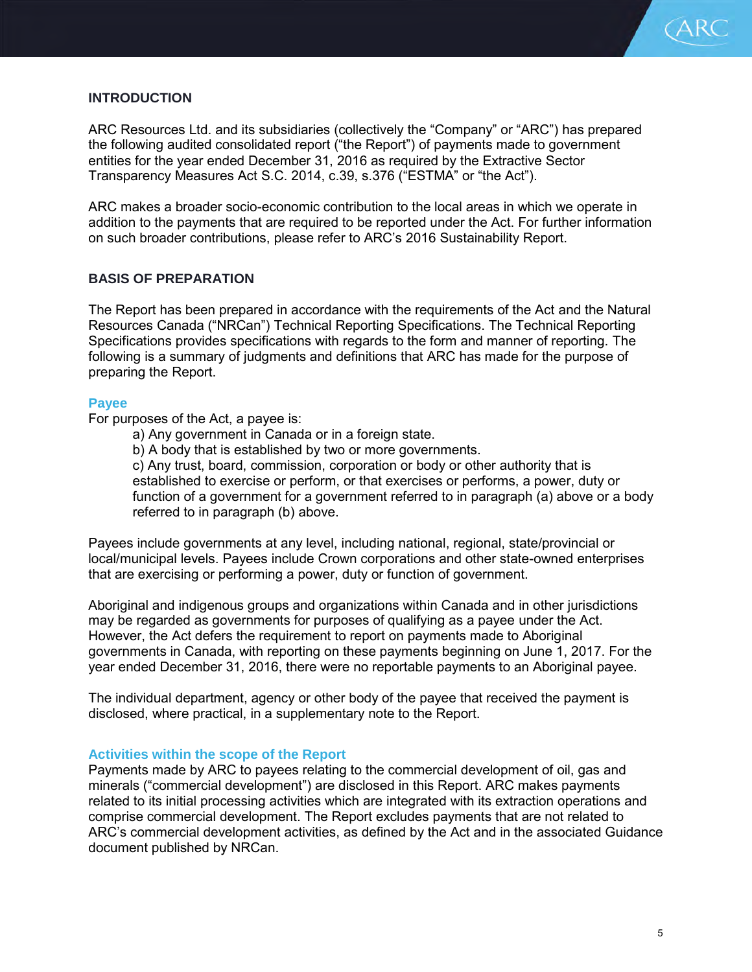

# **INTRODUCTION**

ARC Resources Ltd. and its subsidiaries (collectively the "Company" or "ARC") has prepared the following audited consolidated report ("the Report") of payments made to government entities for the year ended December 31, 2016 as required by the Extractive Sector Transparency Measures Act S.C. 2014, c.39, s.376 ("ESTMA" or "the Act").

ARC makes a broader socio-economic contribution to the local areas in which we operate in addition to the payments that are required to be reported under the Act. For further information on such broader contributions, please refer to ARC's 2016 Sustainability Report.

#### **BASIS OF PREPARATION**

The Report has been prepared in accordance with the requirements of the Act and the Natural Resources Canada ("NRCan") Technical Reporting Specifications. The Technical Reporting Specifications provides specifications with regards to the form and manner of reporting. The following is a summary of judgments and definitions that ARC has made for the purpose of preparing the Report.

#### **Payee**

For purposes of the Act, a payee is:

- a) Any government in Canada or in a foreign state.
- b) A body that is established by two or more governments.

c) Any trust, board, commission, corporation or body or other authority that is established to exercise or perform, or that exercises or performs, a power, duty or function of a government for a government referred to in paragraph (a) above or a body referred to in paragraph (b) above.

Payees include governments at any level, including national, regional, state/provincial or local/municipal levels. Payees include Crown corporations and other state-owned enterprises that are exercising or performing a power, duty or function of government.

Aboriginal and indigenous groups and organizations within Canada and in other jurisdictions may be regarded as governments for purposes of qualifying as a payee under the Act. However, the Act defers the requirement to report on payments made to Aboriginal governments in Canada, with reporting on these payments beginning on June 1, 2017. For the year ended December 31, 2016, there were no reportable payments to an Aboriginal payee.

The individual department, agency or other body of the payee that received the payment is disclosed, where practical, in a supplementary note to the Report.

#### **Activities within the scope of the Report**

Payments made by ARC to payees relating to the commercial development of oil, gas and minerals ("commercial development") are disclosed in this Report. ARC makes payments related to its initial processing activities which are integrated with its extraction operations and comprise commercial development. The Report excludes payments that are not related to ARC's commercial development activities, as defined by the Act and in the associated Guidance document published by NRCan.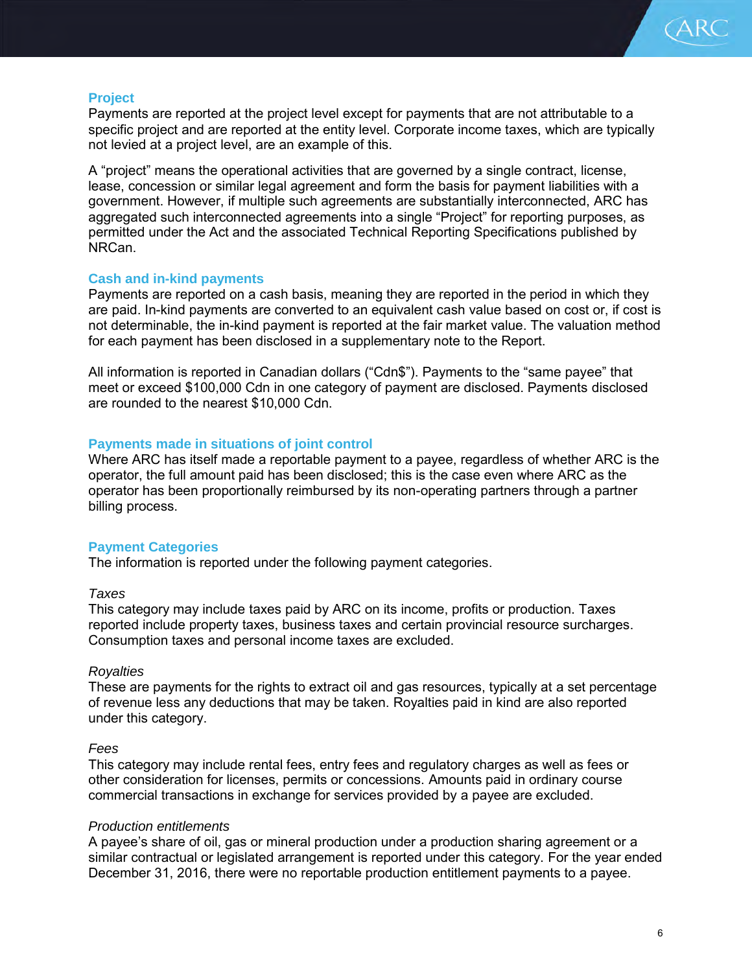

# **Project**

Payments are reported at the project level except for payments that are not attributable to a specific project and are reported at the entity level. Corporate income taxes, which are typically not levied at a project level, are an example of this.

A "project" means the operational activities that are governed by a single contract, license, lease, concession or similar legal agreement and form the basis for payment liabilities with a government. However, if multiple such agreements are substantially interconnected, ARC has aggregated such interconnected agreements into a single "Project" for reporting purposes, as permitted under the Act and the associated Technical Reporting Specifications published by NRCan.

# **Cash and in-kind payments**

Payments are reported on a cash basis, meaning they are reported in the period in which they are paid. In-kind payments are converted to an equivalent cash value based on cost or, if cost is not determinable, the in-kind payment is reported at the fair market value. The valuation method for each payment has been disclosed in a supplementary note to the Report.

All information is reported in Canadian dollars ("Cdn\$"). Payments to the "same payee" that meet or exceed \$100,000 Cdn in one category of payment are disclosed. Payments disclosed are rounded to the nearest \$10,000 Cdn.

# **Payments made in situations of joint control**

Where ARC has itself made a reportable payment to a payee, regardless of whether ARC is the operator, the full amount paid has been disclosed; this is the case even where ARC as the operator has been proportionally reimbursed by its non-operating partners through a partner billing process.

# **Payment Categories**

The information is reported under the following payment categories.

# *Taxes*

This category may include taxes paid by ARC on its income, profits or production. Taxes reported include property taxes, business taxes and certain provincial resource surcharges. Consumption taxes and personal income taxes are excluded.

# *Royalties*

These are payments for the rights to extract oil and gas resources, typically at a set percentage of revenue less any deductions that may be taken. Royalties paid in kind are also reported under this category.

# *Fees*

This category may include rental fees, entry fees and regulatory charges as well as fees or other consideration for licenses, permits or concessions. Amounts paid in ordinary course commercial transactions in exchange for services provided by a payee are excluded.

# *Production entitlements*

A payee's share of oil, gas or mineral production under a production sharing agreement or a similar contractual or legislated arrangement is reported under this category. For the year ended December 31, 2016, there were no reportable production entitlement payments to a payee.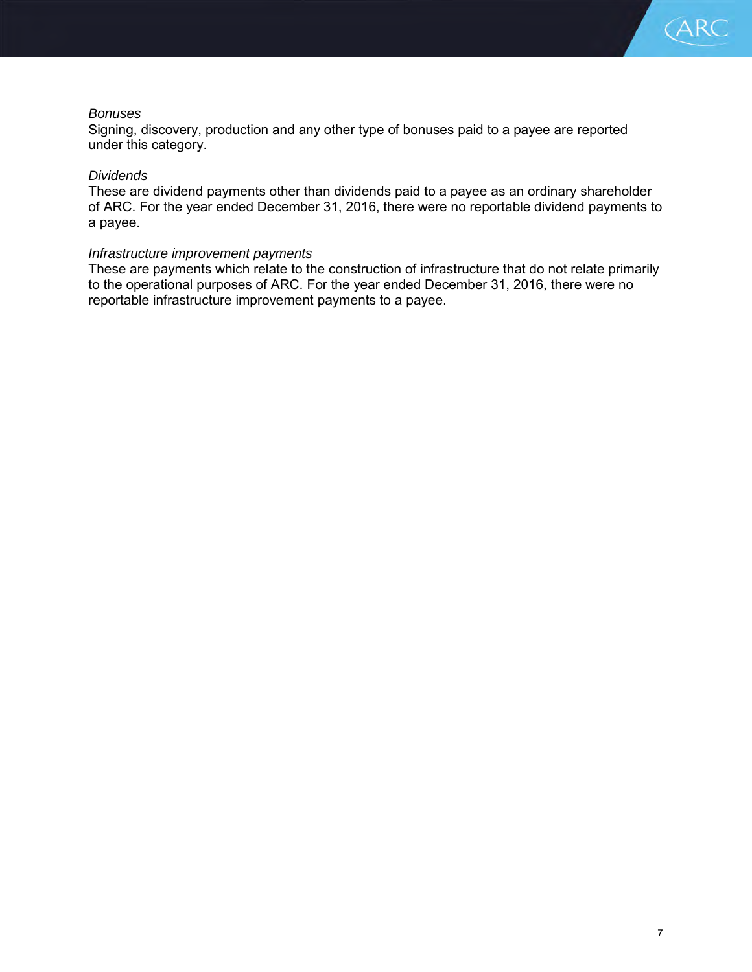

#### *Bonuses*

Signing, discovery, production and any other type of bonuses paid to a payee are reported under this category.

#### *Dividends*

These are dividend payments other than dividends paid to a payee as an ordinary shareholder of ARC. For the year ended December 31, 2016, there were no reportable dividend payments to a payee.

#### *Infrastructure improvement payments*

These are payments which relate to the construction of infrastructure that do not relate primarily to the operational purposes of ARC. For the year ended December 31, 2016, there were no reportable infrastructure improvement payments to a payee.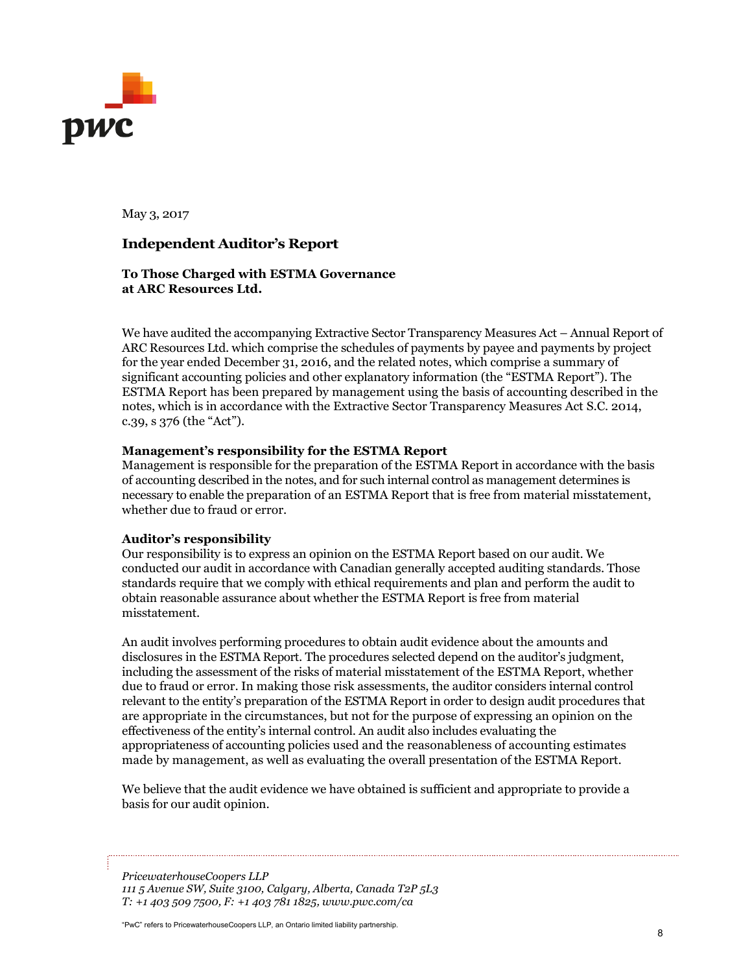

May 3, 2017

# **Independent Auditor's Report**

#### **To Those Charged with ESTMA Governance at ARC Resources Ltd.**

We have audited the accompanying Extractive Sector Transparency Measures Act – Annual Report of ARC Resources Ltd. which comprise the schedules of payments by payee and payments by project for the year ended December 31, 2016, and the related notes, which comprise a summary of significant accounting policies and other explanatory information (the "ESTMA Report"). The ESTMA Report has been prepared by management using the basis of accounting described in the notes, which is in accordance with the Extractive Sector Transparency Measures Act S.C. 2014, c.39, s 376 (the "Act").

#### **Management's responsibility for the ESTMA Report**

Management is responsible for the preparation of the ESTMA Report in accordance with the basis of accounting described in the notes, and for such internal control as management determines is necessary to enable the preparation of an ESTMA Report that is free from material misstatement, whether due to fraud or error.

#### **Auditor's responsibility**

Our responsibility is to express an opinion on the ESTMA Report based on our audit. We conducted our audit in accordance with Canadian generally accepted auditing standards. Those standards require that we comply with ethical requirements and plan and perform the audit to obtain reasonable assurance about whether the ESTMA Report is free from material misstatement.

An audit involves performing procedures to obtain audit evidence about the amounts and disclosures in the ESTMA Report. The procedures selected depend on the auditor's judgment, including the assessment of the risks of material misstatement of the ESTMA Report, whether due to fraud or error. In making those risk assessments, the auditor considers internal control relevant to the entity's preparation of the ESTMA Report in order to design audit procedures that are appropriate in the circumstances, but not for the purpose of expressing an opinion on the effectiveness of the entity's internal control. An audit also includes evaluating the appropriateness of accounting policies used and the reasonableness of accounting estimates made by management, as well as evaluating the overall presentation of the ESTMA Report.

We believe that the audit evidence we have obtained is sufficient and appropriate to provide a basis for our audit opinion.

*PricewaterhouseCoopers LLP 111 5 Avenue SW, Suite 3100, Calgary, Alberta, Canada T2P 5L3 T: +1 403 509 7500, F: +1 403 781 1825, www.pwc.com/ca*